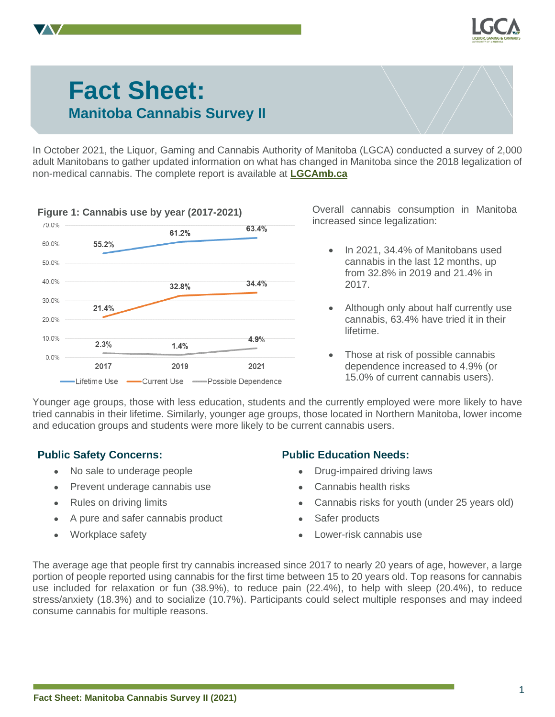

# **Fact Sheet: Manitoba Cannabis Survey II**

In October 2021, the Liquor, Gaming and Cannabis Authority of Manitoba (LGCA) conducted a survey of 2,000 adult Manitobans to gather updated information on what has changed in Manitoba since the 2018 legalization of non-medical cannabis. The complete report is available at **[LGCAmb.ca](https://lgcamb.ca/)**



increased since legalization:

- In 2021, 34.4% of Manitobans used cannabis in the last 12 months, up from 32.8% in 2019 and 21.4% in 2017.
- Although only about half currently use cannabis, 63.4% have tried it in their lifetime.
- Those at risk of possible cannabis dependence increased to 4.9% (or 15.0% of current cannabis users).

Younger age groups, those with less education, students and the currently employed were more likely to have tried cannabis in their lifetime. Similarly, younger age groups, those located in Northern Manitoba, lower income and education groups and students were more likely to be current cannabis users.

## **Public Safety Concerns:**

- No sale to underage people
- Prevent underage cannabis use
- Rules on driving limits
- A pure and safer cannabis product
- Workplace safety

## **Public Education Needs:**

- Drug-impaired driving laws
- Cannabis health risks
- Cannabis risks for youth (under 25 years old)
- Safer products
- Lower-risk cannabis use

The average age that people first try cannabis increased since 2017 to nearly 20 years of age, however, a large portion of people reported using cannabis for the first time between 15 to 20 years old. Top reasons for cannabis use included for relaxation or fun (38.9%), to reduce pain (22.4%), to help with sleep (20.4%), to reduce stress/anxiety (18.3%) and to socialize (10.7%). Participants could select multiple responses and may indeed consume cannabis for multiple reasons.